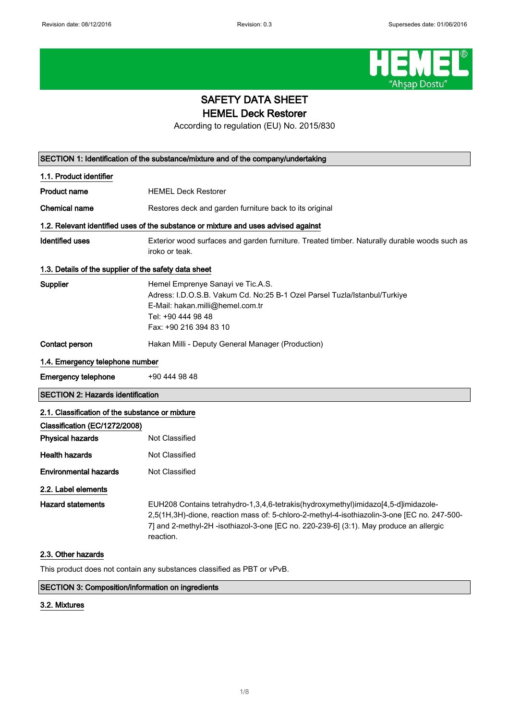

# SAFETY DATA SHEET HEMEL Deck Restorer

According to regulation (EU) No. 2015/830

|                                                       | SECTION 1: Identification of the substance/mixture and of the company/undertaking                                                                                                                                                                                                        |
|-------------------------------------------------------|------------------------------------------------------------------------------------------------------------------------------------------------------------------------------------------------------------------------------------------------------------------------------------------|
| 1.1. Product identifier                               |                                                                                                                                                                                                                                                                                          |
| <b>Product name</b>                                   | <b>HEMEL Deck Restorer</b>                                                                                                                                                                                                                                                               |
| Chemical name                                         | Restores deck and garden furniture back to its original                                                                                                                                                                                                                                  |
|                                                       | 1.2. Relevant identified uses of the substance or mixture and uses advised against                                                                                                                                                                                                       |
| <b>Identified uses</b>                                | Exterior wood surfaces and garden furniture. Treated timber. Naturally durable woods such as<br>iroko or teak.                                                                                                                                                                           |
| 1.3. Details of the supplier of the safety data sheet |                                                                                                                                                                                                                                                                                          |
| Supplier                                              | Hemel Emprenye Sanayi ve Tic.A.S.<br>Adress: I.D.O.S.B. Vakum Cd. No:25 B-1 Ozel Parsel Tuzla/Istanbul/Turkiye<br>E-Mail: hakan.milli@hemel.com.tr<br>Tel: +90 444 98 48<br>Fax: +90 216 394 83 10                                                                                       |
| Contact person                                        | Hakan Milli - Deputy General Manager (Production)                                                                                                                                                                                                                                        |
| 1.4. Emergency telephone number                       |                                                                                                                                                                                                                                                                                          |
| <b>Emergency telephone</b>                            | +90 444 98 48                                                                                                                                                                                                                                                                            |
| <b>SECTION 2: Hazards identification</b>              |                                                                                                                                                                                                                                                                                          |
| 2.1. Classification of the substance or mixture       |                                                                                                                                                                                                                                                                                          |
| Classification (EC/1272/2008)                         |                                                                                                                                                                                                                                                                                          |
| <b>Physical hazards</b>                               | Not Classified                                                                                                                                                                                                                                                                           |
| <b>Health hazards</b>                                 | Not Classified                                                                                                                                                                                                                                                                           |
| <b>Environmental hazards</b>                          | <b>Not Classified</b>                                                                                                                                                                                                                                                                    |
| 2.2. Label elements                                   |                                                                                                                                                                                                                                                                                          |
| <b>Hazard statements</b>                              | EUH208 Contains tetrahydro-1,3,4,6-tetrakis(hydroxymethyl)imidazo[4,5-d]imidazole-<br>2,5(1H,3H)-dione, reaction mass of: 5-chloro-2-methyl-4-isothiazolin-3-one [EC no. 247-500-<br>7] and 2-methyl-2H -isothiazol-3-one [EC no. 220-239-6] (3:1). May produce an allergic<br>reaction. |
| 2.3. Other hazards                                    |                                                                                                                                                                                                                                                                                          |

This product does not contain any substances classified as PBT or vPvB.

# SECTION 3: Composition/information on ingredients

# 3.2. Mixtures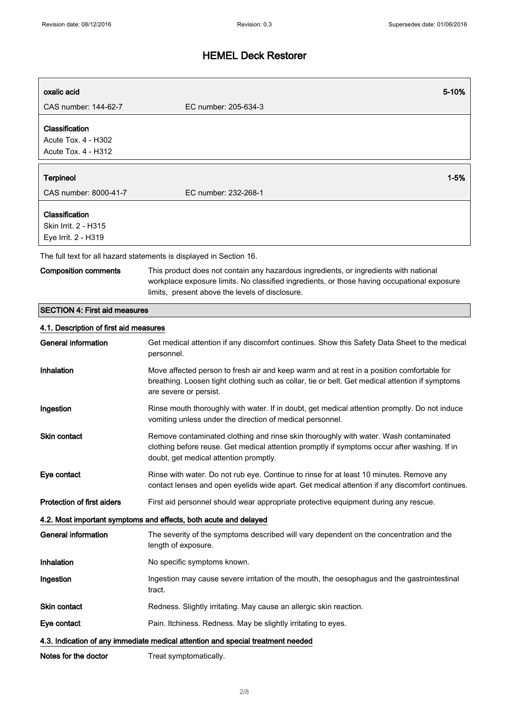| oxalic acid                                                   |                                                                                                                                                                                      | 5-10%    |
|---------------------------------------------------------------|--------------------------------------------------------------------------------------------------------------------------------------------------------------------------------------|----------|
| CAS number: 144-62-7                                          | EC number: 205-634-3                                                                                                                                                                 |          |
| Classification<br>Acute Tox. 4 - H302<br>Acute Tox. 4 - H312  |                                                                                                                                                                                      |          |
| <b>Terpineol</b>                                              |                                                                                                                                                                                      | $1 - 5%$ |
| CAS number: 8000-41-7                                         | EC number: 232-268-1                                                                                                                                                                 |          |
| Classification<br>Skin Irrit. 2 - H315<br>Eye Irrit. 2 - H319 |                                                                                                                                                                                      |          |
|                                                               | The full text for all hazard statements is displayed in Section 16.                                                                                                                  |          |
| <b>Composition comments</b>                                   | This product does not contain any hazardous ingredients, or ingredients with national<br>workplace exposure limits. No classified ingredients, or those having occupational exposure |          |

limits, present above the levels of disclosure.

SECTION 4: First aid measures

## 4.1. Description of first aid measures

| <b>General information</b>        | Get medical attention if any discomfort continues. Show this Safety Data Sheet to the medical<br>personnel.                                                                                                                    |
|-----------------------------------|--------------------------------------------------------------------------------------------------------------------------------------------------------------------------------------------------------------------------------|
| Inhalation                        | Move affected person to fresh air and keep warm and at rest in a position comfortable for<br>breathing. Loosen tight clothing such as collar, tie or belt. Get medical attention if symptoms<br>are severe or persist.         |
| Ingestion                         | Rinse mouth thoroughly with water. If in doubt, get medical attention promptly. Do not induce<br>vomiting unless under the direction of medical personnel.                                                                     |
| <b>Skin contact</b>               | Remove contaminated clothing and rinse skin thoroughly with water. Wash contaminated<br>clothing before reuse. Get medical attention promptly if symptoms occur after washing. If in<br>doubt, get medical attention promptly. |
| Eye contact                       | Rinse with water. Do not rub eye. Continue to rinse for at least 10 minutes. Remove any<br>contact lenses and open eyelids wide apart. Get medical attention if any discomfort continues.                                      |
| <b>Protection of first aiders</b> | First aid personnel should wear appropriate protective equipment during any rescue.                                                                                                                                            |
|                                   | 4.2. Most important symptoms and effects, both acute and delayed                                                                                                                                                               |
| <b>General information</b>        | The severity of the symptoms described will vary dependent on the concentration and the<br>length of exposure.                                                                                                                 |
| Inhalation                        | No specific symptoms known.                                                                                                                                                                                                    |
| Ingestion                         | Ingestion may cause severe irritation of the mouth, the oesophagus and the gastrointestinal<br>tract.                                                                                                                          |
| <b>Skin contact</b>               | Redness. Slightly irritating. May cause an allergic skin reaction.                                                                                                                                                             |
| Eye contact                       | Pain. Itchiness. Redness. May be slightly irritating to eyes.                                                                                                                                                                  |
|                                   | 4.3. Indication of any immediate medical attention and special treatment needed                                                                                                                                                |
| Notes for the doctor              | Treat symptomatically.                                                                                                                                                                                                         |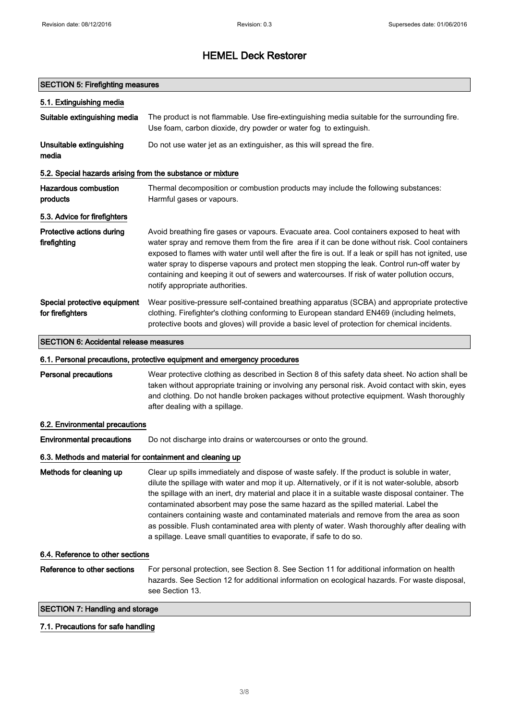#### SECTION 5: Firefighting measures

| 5.1. Extinguishing media                                   |                                                                                                                                                                                                                                                                                                                                                                                                                                                                                                                                          |
|------------------------------------------------------------|------------------------------------------------------------------------------------------------------------------------------------------------------------------------------------------------------------------------------------------------------------------------------------------------------------------------------------------------------------------------------------------------------------------------------------------------------------------------------------------------------------------------------------------|
| Suitable extinguishing media                               | The product is not flammable. Use fire-extinguishing media suitable for the surrounding fire.<br>Use foam, carbon dioxide, dry powder or water fog to extinguish.                                                                                                                                                                                                                                                                                                                                                                        |
| Unsuitable extinguishing<br>media                          | Do not use water jet as an extinguisher, as this will spread the fire.                                                                                                                                                                                                                                                                                                                                                                                                                                                                   |
| 5.2. Special hazards arising from the substance or mixture |                                                                                                                                                                                                                                                                                                                                                                                                                                                                                                                                          |
| Hazardous combustion<br>products                           | Thermal decomposition or combustion products may include the following substances:<br>Harmful gases or vapours.                                                                                                                                                                                                                                                                                                                                                                                                                          |
| 5.3. Advice for firefighters                               |                                                                                                                                                                                                                                                                                                                                                                                                                                                                                                                                          |
| Protective actions during<br>firefighting                  | Avoid breathing fire gases or vapours. Evacuate area. Cool containers exposed to heat with<br>water spray and remove them from the fire area if it can be done without risk. Cool containers<br>exposed to flames with water until well after the fire is out. If a leak or spill has not ignited, use<br>water spray to disperse vapours and protect men stopping the leak. Control run-off water by<br>containing and keeping it out of sewers and watercourses. If risk of water pollution occurs,<br>notify appropriate authorities. |
| Special protective equipment<br>for firefighters           | Wear positive-pressure self-contained breathing apparatus (SCBA) and appropriate protective<br>clothing. Firefighter's clothing conforming to European standard EN469 (including helmets,<br>protective boots and gloves) will provide a basic level of protection for chemical incidents.                                                                                                                                                                                                                                               |

### SECTION 6: Accidental release measures

### 6.1. Personal precautions, protective equipment and emergency procedures

Personal precautions Wear protective clothing as described in Section 8 of this safety data sheet. No action shall be taken without appropriate training or involving any personal risk. Avoid contact with skin, eyes and clothing. Do not handle broken packages without protective equipment. Wash thoroughly after dealing with a spillage.

### 6.2. Environmental precautions

Environmental precautions Do not discharge into drains or watercourses or onto the ground.

### 6.3. Methods and material for containment and cleaning up

Methods for cleaning up Clear up spills immediately and dispose of waste safely. If the product is soluble in water, dilute the spillage with water and mop it up. Alternatively, or if it is not water-soluble, absorb the spillage with an inert, dry material and place it in a suitable waste disposal container. The contaminated absorbent may pose the same hazard as the spilled material. Label the containers containing waste and contaminated materials and remove from the area as soon as possible. Flush contaminated area with plenty of water. Wash thoroughly after dealing with a spillage. Leave small quantities to evaporate, if safe to do so.

#### 6.4. Reference to other sections

Reference to other sections For personal protection, see Section 8. See Section 11 for additional information on health hazards. See Section 12 for additional information on ecological hazards. For waste disposal, see Section 13.

### SECTION 7: Handling and storage

### 7.1. Precautions for safe handling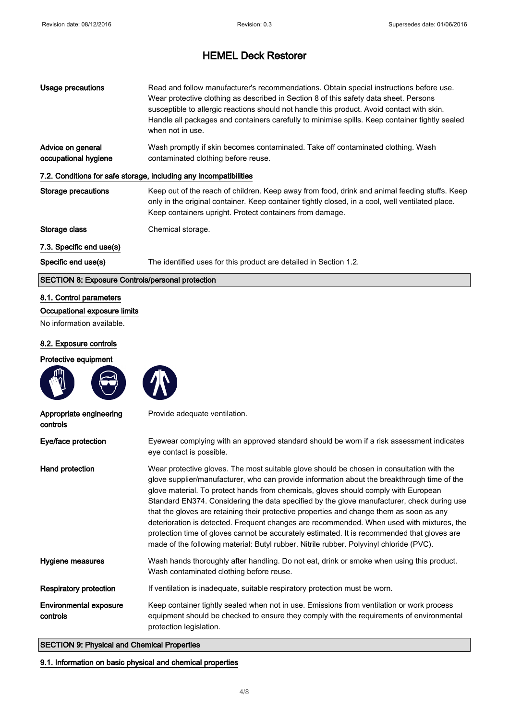| Usage precautions                                                 | Read and follow manufacturer's recommendations. Obtain special instructions before use.<br>Wear protective clothing as described in Section 8 of this safety data sheet. Persons<br>susceptible to allergic reactions should not handle this product. Avoid contact with skin.<br>Handle all packages and containers carefully to minimise spills. Keep container tightly sealed<br>when not in use. |
|-------------------------------------------------------------------|------------------------------------------------------------------------------------------------------------------------------------------------------------------------------------------------------------------------------------------------------------------------------------------------------------------------------------------------------------------------------------------------------|
| Advice on general<br>occupational hygiene                         | Wash promptly if skin becomes contaminated. Take off contaminated clothing. Wash<br>contaminated clothing before reuse.                                                                                                                                                                                                                                                                              |
| 7.2. Conditions for safe storage, including any incompatibilities |                                                                                                                                                                                                                                                                                                                                                                                                      |
| Storage precautions                                               | Keep out of the reach of children. Keep away from food, drink and animal feeding stuffs. Keep<br>only in the original container. Keep container tightly closed, in a cool, well ventilated place.<br>Keep containers upright. Protect containers from damage.                                                                                                                                        |
| Storage class                                                     | Chemical storage.                                                                                                                                                                                                                                                                                                                                                                                    |
| 7.3. Specific end use(s)                                          |                                                                                                                                                                                                                                                                                                                                                                                                      |
| Specific end use(s)                                               | The identified uses for this product are detailed in Section 1.2.                                                                                                                                                                                                                                                                                                                                    |
| <b>SECTION 8: Exposure Controls/personal protection</b>           |                                                                                                                                                                                                                                                                                                                                                                                                      |
|                                                                   |                                                                                                                                                                                                                                                                                                                                                                                                      |

## 8.1. Control parameters

Occupational exposure limits

No information available.

### 8.2. Exposure controls

Protective equipment





Appropriate engineering controls Provide adequate ventilation. Eye/face protection Eyewear complying with an approved standard should be worn if a risk assessment indicates eye contact is possible. Hand protection Wear protective gloves. The most suitable glove should be chosen in consultation with the glove supplier/manufacturer, who can provide information about the breakthrough time of the glove material. To protect hands from chemicals, gloves should comply with European Standard EN374. Considering the data specified by the glove manufacturer, check during use that the gloves are retaining their protective properties and change them as soon as any deterioration is detected. Frequent changes are recommended. When used with mixtures, the protection time of gloves cannot be accurately estimated. It is recommended that gloves are made of the following material: Butyl rubber. Nitrile rubber. Polyvinyl chloride (PVC). Hygiene measures Wash hands thoroughly after handling. Do not eat, drink or smoke when using this product. Wash contaminated clothing before reuse. Respiratory protection If ventilation is inadequate, suitable respiratory protection must be worn. Environmental exposure controls Keep container tightly sealed when not in use. Emissions from ventilation or work process equipment should be checked to ensure they comply with the requirements of environmental protection legislation. SECTION 9: Physical and Chemical Properties

### 9.1. Information on basic physical and chemical properties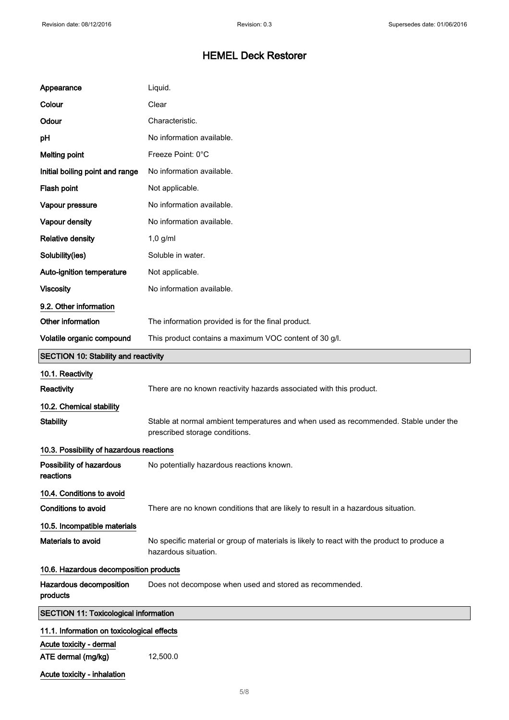| Appearance                                    | Liquid.                                                                                                                |
|-----------------------------------------------|------------------------------------------------------------------------------------------------------------------------|
| Colour                                        | Clear                                                                                                                  |
| Odour                                         | Characteristic.                                                                                                        |
| pH                                            | No information available.                                                                                              |
| <b>Melting point</b>                          | Freeze Point: 0°C                                                                                                      |
| Initial boiling point and range               | No information available.                                                                                              |
| Flash point                                   | Not applicable.                                                                                                        |
| Vapour pressure                               | No information available.                                                                                              |
| Vapour density                                | No information available.                                                                                              |
| <b>Relative density</b>                       | $1,0$ g/ml                                                                                                             |
| Solubility(ies)                               | Soluble in water.                                                                                                      |
| Auto-ignition temperature                     | Not applicable.                                                                                                        |
| <b>Viscosity</b>                              | No information available.                                                                                              |
| 9.2. Other information                        |                                                                                                                        |
| Other information                             | The information provided is for the final product.                                                                     |
| Volatile organic compound                     | This product contains a maximum VOC content of 30 g/l.                                                                 |
| <b>SECTION 10: Stability and reactivity</b>   |                                                                                                                        |
| 10.1. Reactivity                              |                                                                                                                        |
| <b>Reactivity</b>                             | There are no known reactivity hazards associated with this product.                                                    |
| 10.2. Chemical stability                      |                                                                                                                        |
| <b>Stability</b>                              | Stable at normal ambient temperatures and when used as recommended. Stable under the<br>prescribed storage conditions. |
| 10.3. Possibility of hazardous reactions      |                                                                                                                        |
| Possibility of hazardous<br>reactions         | No potentially hazardous reactions known.                                                                              |
| 10.4. Conditions to avoid                     |                                                                                                                        |
| <b>Conditions to avoid</b>                    | There are no known conditions that are likely to result in a hazardous situation.                                      |
| 10.5. Incompatible materials                  |                                                                                                                        |
| Materials to avoid                            | No specific material or group of materials is likely to react with the product to produce a<br>hazardous situation.    |
| 10.6. Hazardous decomposition products        |                                                                                                                        |
| Hazardous decomposition<br>products           | Does not decompose when used and stored as recommended.                                                                |
| <b>SECTION 11: Toxicological information</b>  |                                                                                                                        |
| 11.1. Information on toxicological effects    |                                                                                                                        |
| Acute toxicity - dermal<br>ATE dermal (mg/kg) | 12,500.0                                                                                                               |
| Acute toxicity - inhalation                   |                                                                                                                        |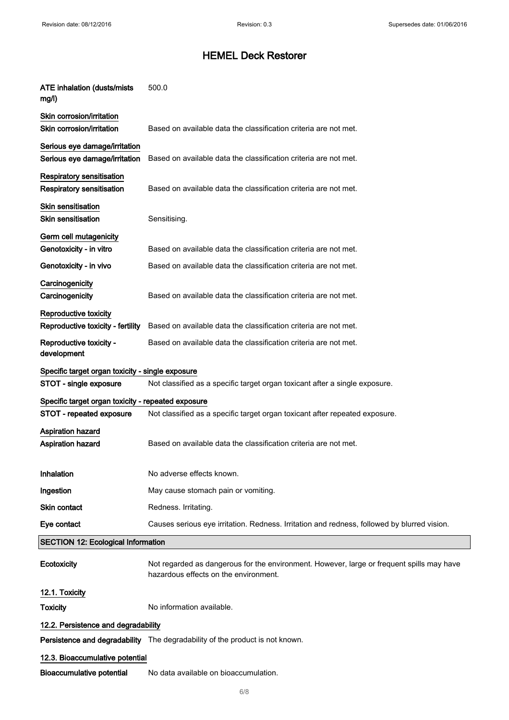| <b>ATE inhalation (dusts/mists</b><br>mg/l)                    | 500.0                                                                                                                              |
|----------------------------------------------------------------|------------------------------------------------------------------------------------------------------------------------------------|
| Skin corrosion/irritation<br>Skin corrosion/irritation         | Based on available data the classification criteria are not met.                                                                   |
| Serious eye damage/irritation<br>Serious eye damage/irritation | Based on available data the classification criteria are not met.                                                                   |
| <b>Respiratory sensitisation</b><br>Respiratory sensitisation  | Based on available data the classification criteria are not met.                                                                   |
| Skin sensitisation<br><b>Skin sensitisation</b>                | Sensitising.                                                                                                                       |
| Germ cell mutagenicity<br>Genotoxicity - in vitro              | Based on available data the classification criteria are not met.                                                                   |
| Genotoxicity - in vivo                                         | Based on available data the classification criteria are not met.                                                                   |
| Carcinogenicity<br>Carcinogenicity                             | Based on available data the classification criteria are not met.                                                                   |
| Reproductive toxicity<br>Reproductive toxicity - fertility     | Based on available data the classification criteria are not met.                                                                   |
| Reproductive toxicity -<br>development                         | Based on available data the classification criteria are not met.                                                                   |
| Specific target organ toxicity - single exposure               |                                                                                                                                    |
| STOT - single exposure                                         | Not classified as a specific target organ toxicant after a single exposure.                                                        |
| Specific target organ toxicity - repeated exposure             |                                                                                                                                    |
| STOT - repeated exposure                                       | Not classified as a specific target organ toxicant after repeated exposure.                                                        |
| <b>Aspiration hazard</b><br><b>Aspiration hazard</b>           | Based on available data the classification criteria are not met.                                                                   |
| Inhalation                                                     | No adverse effects known.                                                                                                          |
| Ingestion                                                      | May cause stomach pain or vomiting.                                                                                                |
| <b>Skin contact</b>                                            | Redness. Irritating.                                                                                                               |
| Eye contact                                                    | Causes serious eye irritation. Redness. Irritation and redness, followed by blurred vision.                                        |
| <b>SECTION 12: Ecological Information</b>                      |                                                                                                                                    |
| Ecotoxicity                                                    | Not regarded as dangerous for the environment. However, large or frequent spills may have<br>hazardous effects on the environment. |
| 12.1. Toxicity                                                 |                                                                                                                                    |
| <b>Toxicity</b>                                                | No information available.                                                                                                          |
| 12.2. Persistence and degradability                            |                                                                                                                                    |
|                                                                | Persistence and degradability The degradability of the product is not known.                                                       |
| 12.3. Bioaccumulative potential                                |                                                                                                                                    |
| <b>Bioaccumulative potential</b>                               | No data available on bioaccumulation.                                                                                              |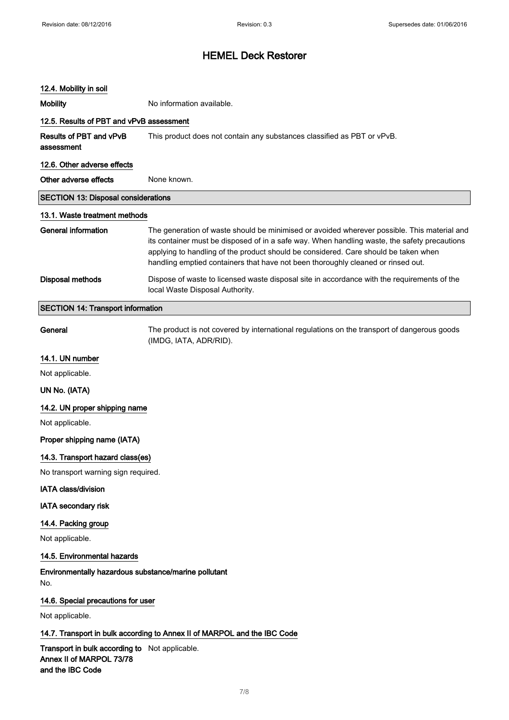### 12.4. Mobility in soil

Mobility Mobility No information available.

# 12.5. Results of PBT and vPvB assessment

Results of PBT and vPvB assessment This product does not contain any substances classified as PBT or vPvB.

# 12.6. Other adverse effects

| Other adverse effects                      | None known.                                                                                                                                                                                                                                                                                                                                                            |
|--------------------------------------------|------------------------------------------------------------------------------------------------------------------------------------------------------------------------------------------------------------------------------------------------------------------------------------------------------------------------------------------------------------------------|
| <b>SECTION 13: Disposal considerations</b> |                                                                                                                                                                                                                                                                                                                                                                        |
| 13.1. Waste treatment methods              |                                                                                                                                                                                                                                                                                                                                                                        |
| General information                        | The generation of waste should be minimised or avoided wherever possible. This material and<br>its container must be disposed of in a safe way. When handling waste, the safety precautions<br>applying to handling of the product should be considered. Care should be taken when<br>handling emptied containers that have not been thoroughly cleaned or rinsed out. |
| Disposal methods                           | Dispose of waste to licensed waste disposal site in accordance with the requirements of the<br>local Waste Disposal Authority.                                                                                                                                                                                                                                         |

## SECTION 14: Transport information

General The product is not covered by international regulations on the transport of dangerous goods (IMDG, IATA, ADR/RID).

## 14.1. UN number

Not applicable.

### UN No. (IATA)

14.2. UN proper shipping name

Not applicable.

### Proper shipping name (IATA)

## 14.3. Transport hazard class(es)

No transport warning sign required.

### IATA class/division

### IATA secondary risk

### 14.4. Packing group

Not applicable.

## 14.5. Environmental hazards

Environmentally hazardous substance/marine pollutant No.

### 14.6. Special precautions for user

Not applicable.

## 14.7. Transport in bulk according to Annex II of MARPOL and the IBC Code

Transport in bulk according to Not applicable. Annex II of MARPOL 73/78 and the IBC Code